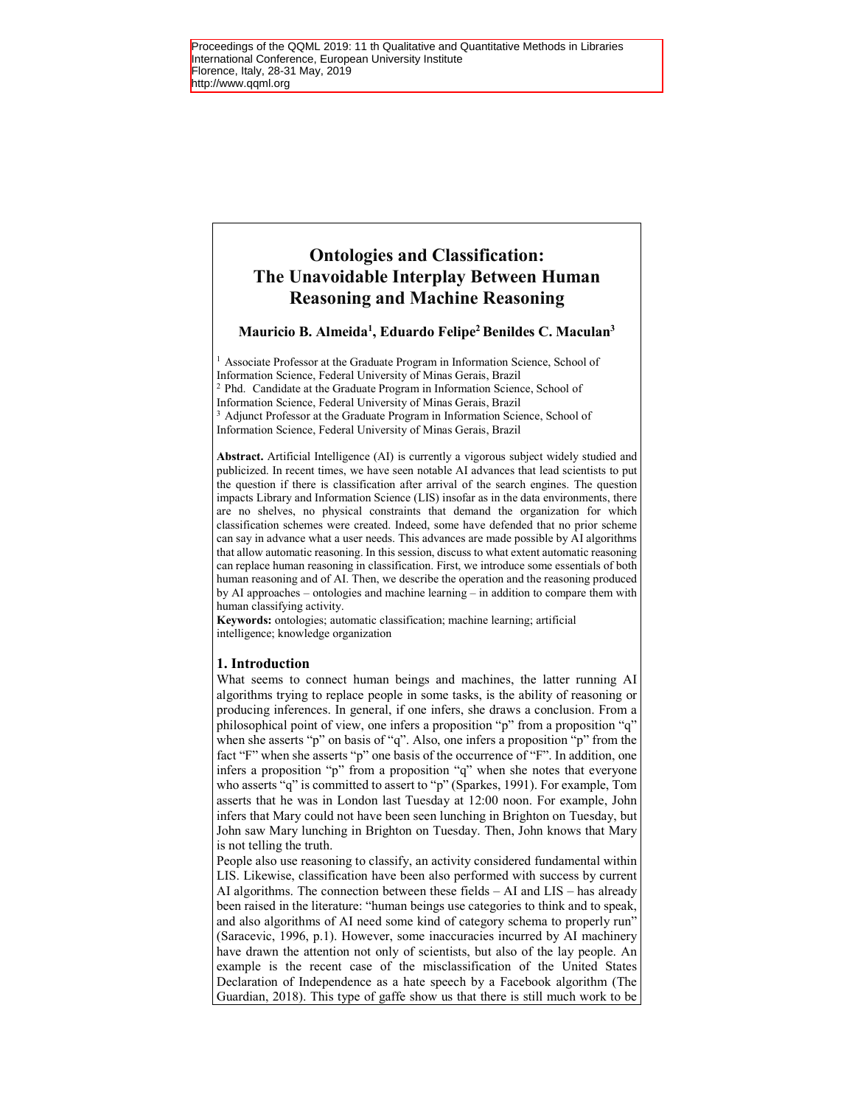# Ontologies and Classification: The Unavoidable Interplay Between Human Reasoning and Machine Reasoning

Mauricio B. Almeida<sup>1</sup>, Eduardo Felipe<sup>2</sup> Benildes C. Maculan<sup>3</sup>

<sup>1</sup> Associate Professor at the Graduate Program in Information Science, School of Information Science, Federal University of Minas Gerais, Brazil <sup>2</sup> Phd. Candidate at the Graduate Program in Information Science, School of Information Science, Federal University of Minas Gerais, Brazil <sup>3</sup> Adjunct Professor at the Graduate Program in Information Science, School of Information Science, Federal University of Minas Gerais, Brazil

Abstract. Artificial Intelligence (AI) is currently a vigorous subject widely studied and publicized. In recent times, we have seen notable AI advances that lead scientists to put the question if there is classification after arrival of the search engines. The question impacts Library and Information Science (LIS) insofar as in the data environments, there are no shelves, no physical constraints that demand the organization for which classification schemes were created. Indeed, some have defended that no prior scheme can say in advance what a user needs. This advances are made possible by AI algorithms that allow automatic reasoning. In this session, discuss to what extent automatic reasoning can replace human reasoning in classification. First, we introduce some essentials of both human reasoning and of AI. Then, we describe the operation and the reasoning produced by AI approaches – ontologies and machine learning – in addition to compare them with human classifying activity.

Keywords: ontologies; automatic classification; machine learning; artificial intelligence; knowledge organization

## 1. Introduction

What seems to connect human beings and machines, the latter running AI algorithms trying to replace people in some tasks, is the ability of reasoning or producing inferences. In general, if one infers, she draws a conclusion. From a philosophical point of view, one infers a proposition "p" from a proposition "q" when she asserts "p" on basis of "q". Also, one infers a proposition "p" from the fact "F" when she asserts "p" one basis of the occurrence of "F". In addition, one infers a proposition "p" from a proposition "q" when she notes that everyone who asserts "q" is committed to assert to "p" (Sparkes, 1991). For example, Tom asserts that he was in London last Tuesday at 12:00 noon. For example, John infers that Mary could not have been seen lunching in Brighton on Tuesday, but John saw Mary lunching in Brighton on Tuesday. Then, John knows that Mary is not telling the truth.

People also use reasoning to classify, an activity considered fundamental within LIS. Likewise, classification have been also performed with success by current AI algorithms. The connection between these fields – AI and LIS – has already been raised in the literature: "human beings use categories to think and to speak, and also algorithms of AI need some kind of category schema to properly run" (Saracevic, 1996, p.1). However, some inaccuracies incurred by AI machinery have drawn the attention not only of scientists, but also of the lay people. An example is the recent case of the misclassification of the United States Declaration of Independence as a hate speech by a Facebook algorithm (The Guardian, 2018). This type of gaffe show us that there is still much work to be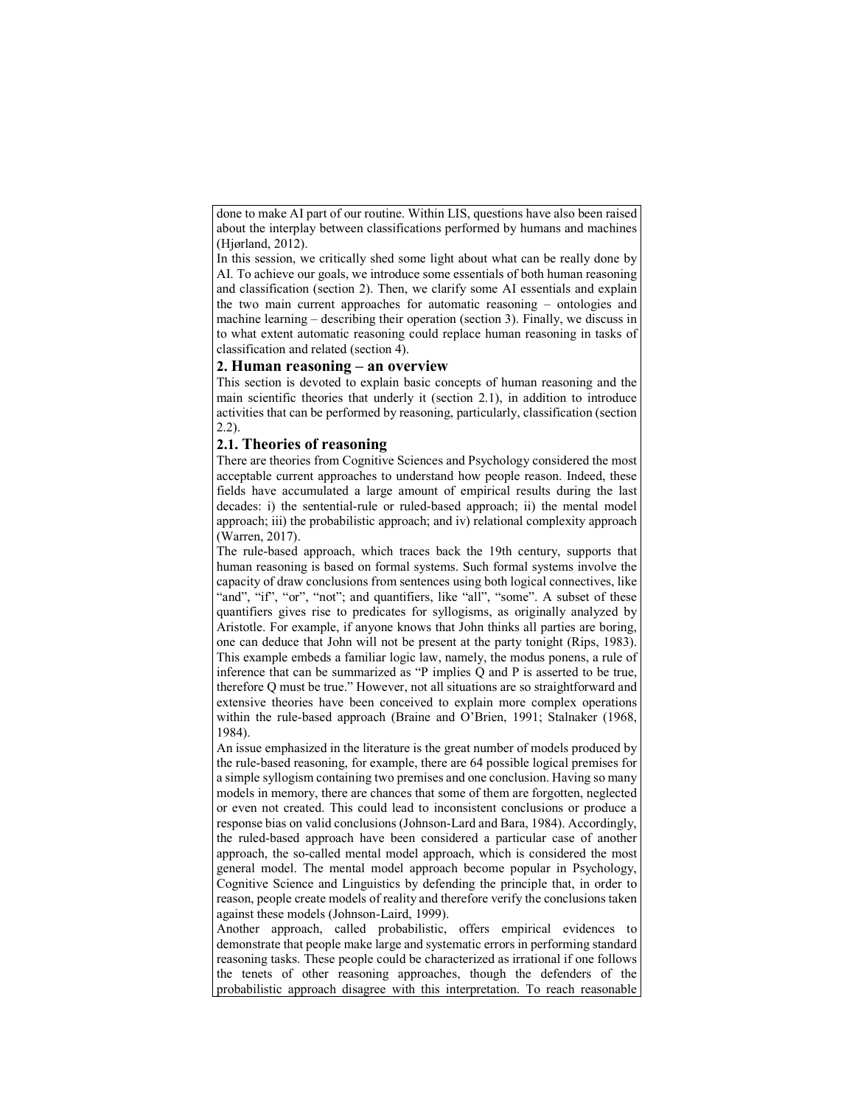## 2. Human reasoning – an overview

This section is devoted to explain basic concepts of human reasoning and the main scientific theories that underly it (section 2.1), in addition to introduce activities that can be performed by reasoning, particularly, classification (section 2.2).

# 2.1. Theories of reasoning

There are theories from Cognitive Sciences and Psychology considered the most acceptable current approaches to understand how people reason. Indeed, these fields have accumulated a large amount of empirical results during the last decades: i) the sentential-rule or ruled-based approach; ii) the mental model approach; iii) the probabilistic approach; and iv) relational complexity approach (Warren, 2017).

The rule-based approach, which traces back the 19th century, supports that human reasoning is based on formal systems. Such formal systems involve the capacity of draw conclusions from sentences using both logical connectives, like "and", "if", "or", "not"; and quantifiers, like "all", "some". A subset of these quantifiers gives rise to predicates for syllogisms, as originally analyzed by Aristotle. For example, if anyone knows that John thinks all parties are boring, one can deduce that John will not be present at the party tonight (Rips, 1983). This example embeds a familiar logic law, namely, the modus ponens, a rule of inference that can be summarized as "P implies Q and P is asserted to be true, therefore Q must be true." However, not all situations are so straightforward and extensive theories have been conceived to explain more complex operations within the rule-based approach (Braine and O'Brien, 1991; Stalnaker (1968, 1984).

An issue emphasized in the literature is the great number of models produced by the rule-based reasoning, for example, there are 64 possible logical premises for a simple syllogism containing two premises and one conclusion. Having so many models in memory, there are chances that some of them are forgotten, neglected or even not created. This could lead to inconsistent conclusions or produce a response bias on valid conclusions (Johnson-Lard and Bara, 1984). Accordingly, the ruled-based approach have been considered a particular case of another approach, the so-called mental model approach, which is considered the most general model. The mental model approach become popular in Psychology, Cognitive Science and Linguistics by defending the principle that, in order to reason, people create models of reality and therefore verify the conclusions taken against these models (Johnson-Laird, 1999).

Another approach, called probabilistic, offers empirical evidences to demonstrate that people make large and systematic errors in performing standard reasoning tasks. These people could be characterized as irrational if one follows the tenets of other reasoning approaches, though the defenders of the probabilistic approach disagree with this interpretation. To reach reasonable

done to make AI part of our routine. Within LIS, questions have also been raised about the interplay between classifications performed by humans and machines (Hjørland, 2012).

In this session, we critically shed some light about what can be really done by AI. To achieve our goals, we introduce some essentials of both human reasoning and classification (section 2). Then, we clarify some AI essentials and explain the two main current approaches for automatic reasoning – ontologies and machine learning – describing their operation (section 3). Finally, we discuss in to what extent automatic reasoning could replace human reasoning in tasks of classification and related (section 4).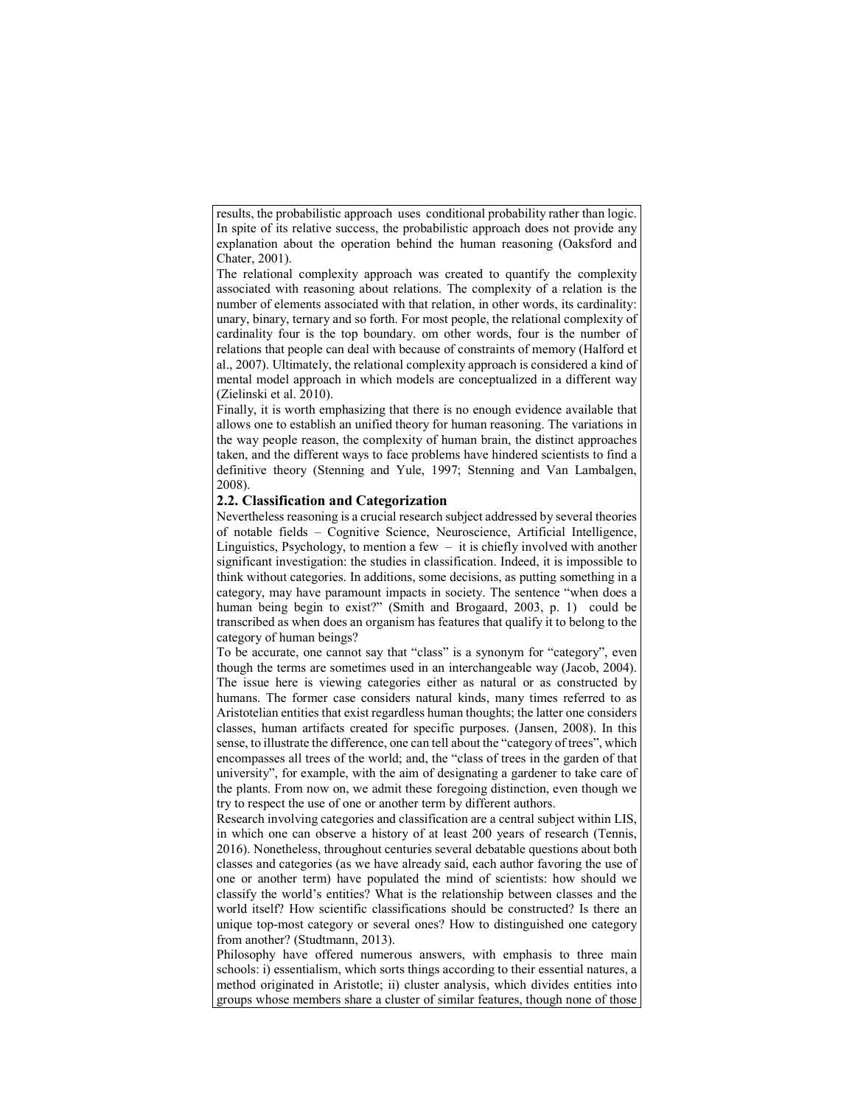results, the probabilistic approach uses conditional probability rather than logic. In spite of its relative success, the probabilistic approach does not provide any explanation about the operation behind the human reasoning (Oaksford and Chater, 2001).

The relational complexity approach was created to quantify the complexity associated with reasoning about relations. The complexity of a relation is the number of elements associated with that relation, in other words, its cardinality: unary, binary, ternary and so forth. For most people, the relational complexity of cardinality four is the top boundary. om other words, four is the number of relations that people can deal with because of constraints of memory (Halford et al., 2007). Ultimately, the relational complexity approach is considered a kind of mental model approach in which models are conceptualized in a different way (Zielinski et al. 2010).

Finally, it is worth emphasizing that there is no enough evidence available that allows one to establish an unified theory for human reasoning. The variations in the way people reason, the complexity of human brain, the distinct approaches taken, and the different ways to face problems have hindered scientists to find a definitive theory (Stenning and Yule, 1997; Stenning and Van Lambalgen, 2008).

### 2.2. Classification and Categorization

Nevertheless reasoning is a crucial research subject addressed by several theories of notable fields – Cognitive Science, Neuroscience, Artificial Intelligence, Linguistics, Psychology, to mention a few  $-$  it is chiefly involved with another significant investigation: the studies in classification. Indeed, it is impossible to think without categories. In additions, some decisions, as putting something in a category, may have paramount impacts in society. The sentence "when does a human being begin to exist?" (Smith and Brogaard, 2003, p. 1) could be transcribed as when does an organism has features that qualify it to belong to the category of human beings?

To be accurate, one cannot say that "class" is a synonym for "category", even though the terms are sometimes used in an interchangeable way (Jacob, 2004). The issue here is viewing categories either as natural or as constructed by humans. The former case considers natural kinds, many times referred to as Aristotelian entities that exist regardless human thoughts; the latter one considers classes, human artifacts created for specific purposes. (Jansen, 2008). In this sense, to illustrate the difference, one can tell about the "category of trees", which encompasses all trees of the world; and, the "class of trees in the garden of that university", for example, with the aim of designating a gardener to take care of the plants. From now on, we admit these foregoing distinction, even though we try to respect the use of one or another term by different authors.

Research involving categories and classification are a central subject within LIS, in which one can observe a history of at least 200 years of research (Tennis, 2016). Nonetheless, throughout centuries several debatable questions about both classes and categories (as we have already said, each author favoring the use of one or another term) have populated the mind of scientists: how should we classify the world's entities? What is the relationship between classes and the world itself? How scientific classifications should be constructed? Is there an unique top-most category or several ones? How to distinguished one category from another? (Studtmann, 2013).

Philosophy have offered numerous answers, with emphasis to three main schools: i) essentialism, which sorts things according to their essential natures, a method originated in Aristotle; ii) cluster analysis, which divides entities into groups whose members share a cluster of similar features, though none of those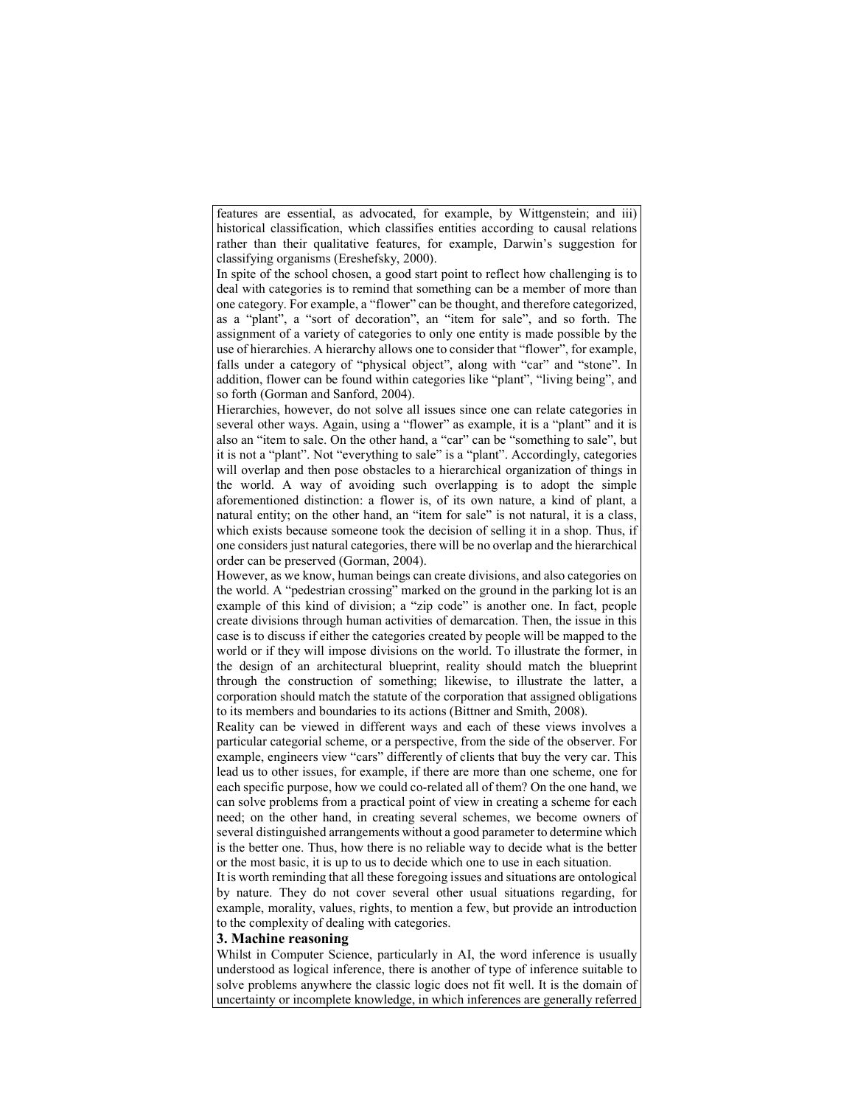features are essential, as advocated, for example, by Wittgenstein; and iii) historical classification, which classifies entities according to causal relations rather than their qualitative features, for example, Darwin's suggestion for classifying organisms (Ereshefsky, 2000).

In spite of the school chosen, a good start point to reflect how challenging is to deal with categories is to remind that something can be a member of more than one category. For example, a "flower" can be thought, and therefore categorized, as a "plant", a "sort of decoration", an "item for sale", and so forth. The assignment of a variety of categories to only one entity is made possible by the use of hierarchies. A hierarchy allows one to consider that "flower", for example, falls under a category of "physical object", along with "car" and "stone". In addition, flower can be found within categories like "plant", "living being", and so forth (Gorman and Sanford, 2004).

Hierarchies, however, do not solve all issues since one can relate categories in several other ways. Again, using a "flower" as example, it is a "plant" and it is also an "item to sale. On the other hand, a "car" can be "something to sale", but it is not a "plant". Not "everything to sale" is a "plant". Accordingly, categories will overlap and then pose obstacles to a hierarchical organization of things in the world. A way of avoiding such overlapping is to adopt the simple aforementioned distinction: a flower is, of its own nature, a kind of plant, a natural entity; on the other hand, an "item for sale" is not natural, it is a class, which exists because someone took the decision of selling it in a shop. Thus, if one considers just natural categories, there will be no overlap and the hierarchical order can be preserved (Gorman, 2004).

However, as we know, human beings can create divisions, and also categories on the world. A "pedestrian crossing" marked on the ground in the parking lot is an example of this kind of division; a "zip code" is another one. In fact, people create divisions through human activities of demarcation. Then, the issue in this case is to discuss if either the categories created by people will be mapped to the world or if they will impose divisions on the world. To illustrate the former, in the design of an architectural blueprint, reality should match the blueprint through the construction of something; likewise, to illustrate the latter, a corporation should match the statute of the corporation that assigned obligations to its members and boundaries to its actions (Bittner and Smith, 2008).

Reality can be viewed in different ways and each of these views involves a particular categorial scheme, or a perspective, from the side of the observer. For example, engineers view "cars" differently of clients that buy the very car. This lead us to other issues, for example, if there are more than one scheme, one for each specific purpose, how we could co-related all of them? On the one hand, we can solve problems from a practical point of view in creating a scheme for each need; on the other hand, in creating several schemes, we become owners of several distinguished arrangements without a good parameter to determine which is the better one. Thus, how there is no reliable way to decide what is the better or the most basic, it is up to us to decide which one to use in each situation.

It is worth reminding that all these foregoing issues and situations are ontological by nature. They do not cover several other usual situations regarding, for example, morality, values, rights, to mention a few, but provide an introduction to the complexity of dealing with categories.

#### 3. Machine reasoning

Whilst in Computer Science, particularly in AI, the word inference is usually understood as logical inference, there is another of type of inference suitable to solve problems anywhere the classic logic does not fit well. It is the domain of uncertainty or incomplete knowledge, in which inferences are generally referred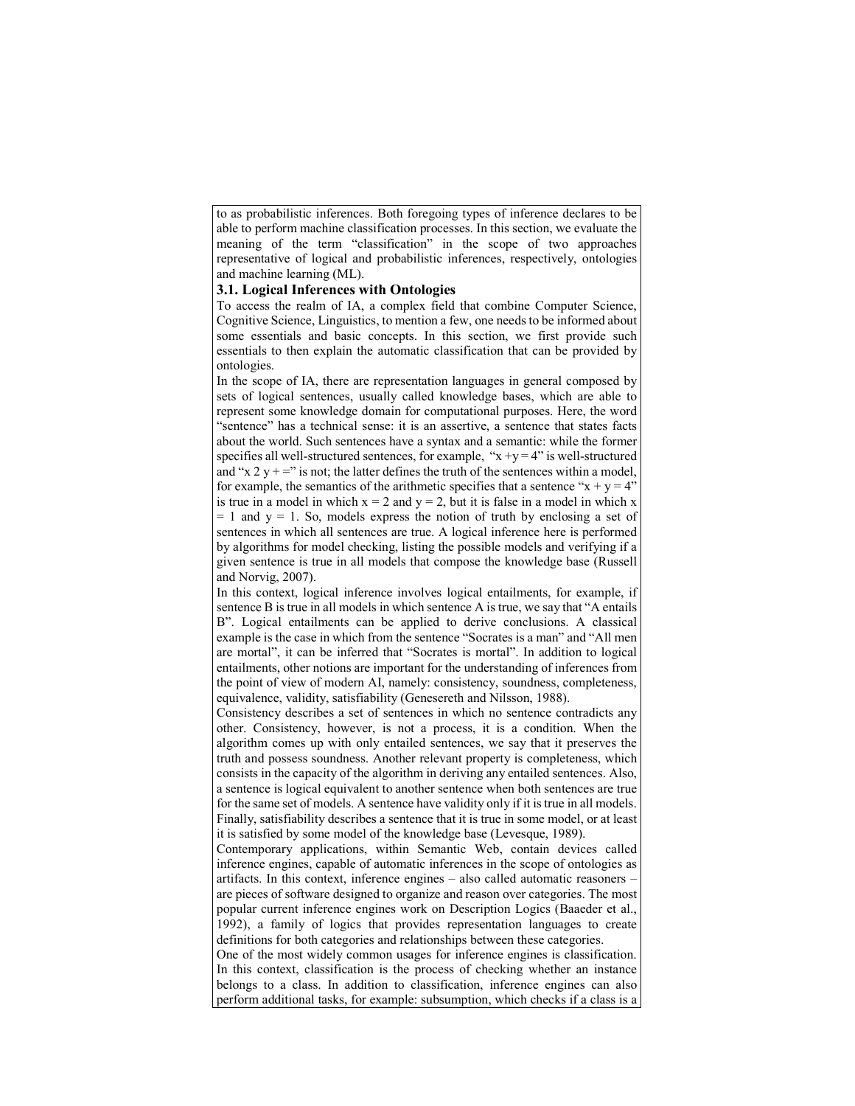to as probabilistic inferences. Both foregoing types of inference declares to be able to perform machine classification processes. In this section, we evaluate the meaning of the term "classification" in the scope of two approaches representative of logical and probabilistic inferences, respectively, ontologies and machine learning (ML).

# 3.1. Logical Inferences with Ontologies

To access the realm of IA, a complex field that combine Computer Science, Cognitive Science, Linguistics, to mention a few, one needs to be informed about some essentials and basic concepts. In this section, we first provide such essentials to then explain the automatic classification that can be provided by ontologies.

In the scope of IA, there are representation languages in general composed by sets of logical sentences, usually called knowledge bases, which are able to represent some knowledge domain for computational purposes. Here, the word "sentence" has a technical sense: it is an assertive, a sentence that states facts about the world. Such sentences have a syntax and a semantic: while the former specifies all well-structured sentences, for example, " $x +y = 4$ " is well-structured and "x 2 y + =" is not; the latter defines the truth of the sentences within a model, for example, the semantics of the arithmetic specifies that a sentence " $x + y = 4$ " is true in a model in which  $x = 2$  and  $y = 2$ , but it is false in a model in which x  $= 1$  and  $y = 1$ . So, models express the notion of truth by enclosing a set of sentences in which all sentences are true. A logical inference here is performed by algorithms for model checking, listing the possible models and verifying if a given sentence is true in all models that compose the knowledge base (Russell and Norvig, 2007).

In this context, logical inference involves logical entailments, for example, if sentence B is true in all models in which sentence A is true, we say that "A entails B". Logical entailments can be applied to derive conclusions. A classical example is the case in which from the sentence "Socrates is a man" and "All men are mortal", it can be inferred that "Socrates is mortal". In addition to logical entailments, other notions are important for the understanding of inferences from the point of view of modern AI, namely: consistency, soundness, completeness, equivalence, validity, satisfiability (Genesereth and Nilsson, 1988).

Consistency describes a set of sentences in which no sentence contradicts any other. Consistency, however, is not a process, it is a condition. When the algorithm comes up with only entailed sentences, we say that it preserves the truth and possess soundness. Another relevant property is completeness, which consists in the capacity of the algorithm in deriving any entailed sentences. Also, a sentence is logical equivalent to another sentence when both sentences are true for the same set of models. A sentence have validity only if it is true in all models. Finally, satisfiability describes a sentence that it is true in some model, or at least it is satisfied by some model of the knowledge base (Levesque, 1989).

Contemporary applications, within Semantic Web, contain devices called inference engines, capable of automatic inferences in the scope of ontologies as artifacts. In this context, inference engines – also called automatic reasoners – are pieces of software designed to organize and reason over categories. The most popular current inference engines work on Description Logics (Baaeder et al., 1992), a family of logics that provides representation languages to create definitions for both categories and relationships between these categories.

One of the most widely common usages for inference engines is classification. In this context, classification is the process of checking whether an instance belongs to a class. In addition to classification, inference engines can also perform additional tasks, for example: subsumption, which checks if a class is a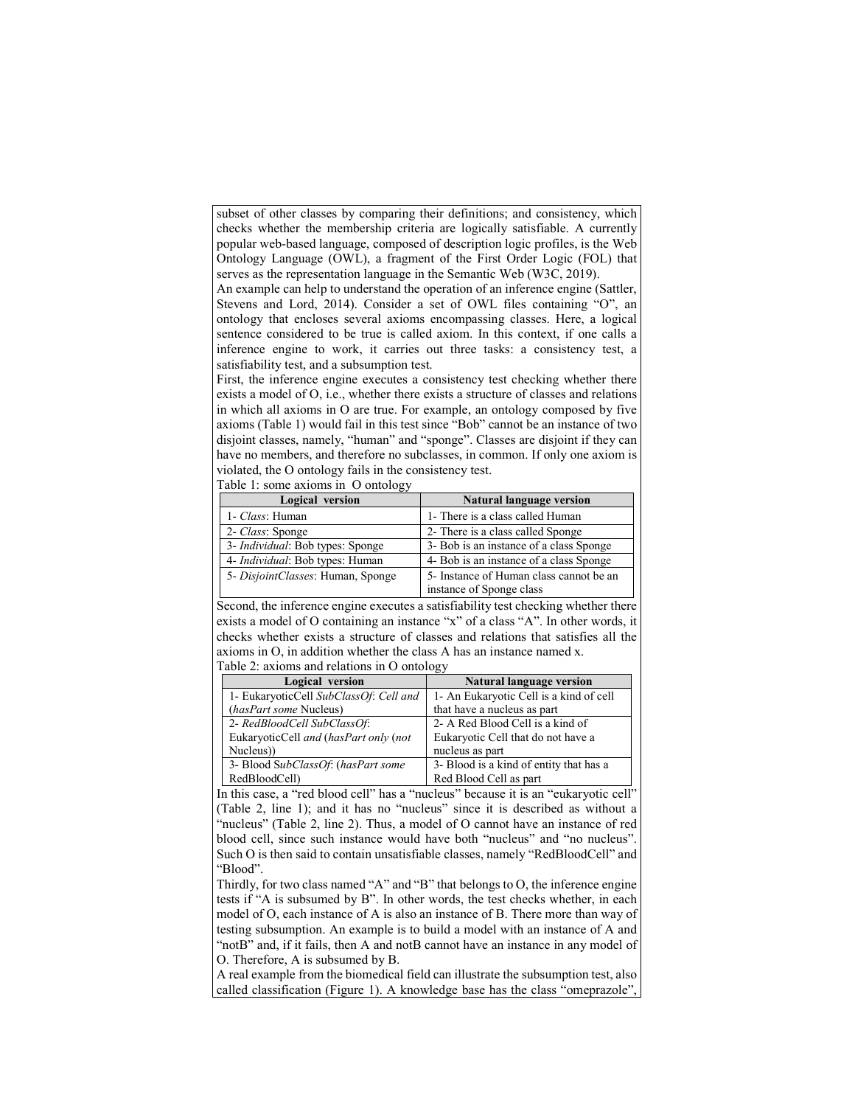subset of other classes by comparing their definitions; and consistency, which checks whether the membership criteria are logically satisfiable. A currently popular web-based language, composed of description logic profiles, is the Web Ontology Language (OWL), a fragment of the First Order Logic (FOL) that serves as the representation language in the Semantic Web (W3C, 2019).

An example can help to understand the operation of an inference engine (Sattler, Stevens and Lord, 2014). Consider a set of OWL files containing "O", an ontology that encloses several axioms encompassing classes. Here, a logical sentence considered to be true is called axiom. In this context, if one calls a inference engine to work, it carries out three tasks: a consistency test, a satisfiability test, and a subsumption test.

First, the inference engine executes a consistency test checking whether there exists a model of O, i.e., whether there exists a structure of classes and relations in which all axioms in O are true. For example, an ontology composed by five axioms (Table 1) would fail in this test since "Bob" cannot be an instance of two disjoint classes, namely, "human" and "sponge". Classes are disjoint if they can have no members, and therefore no subclasses, in common. If only one axiom is violated, the O ontology fails in the consistency test.

| ັ<br>Logical version              | <b>Natural language version</b>                                     |
|-----------------------------------|---------------------------------------------------------------------|
| 1- Class: Human                   | 1- There is a class called Human                                    |
| 2- Class: Sponge                  | 2- There is a class called Sponge                                   |
| 3- Individual: Bob types: Sponge  | 3- Bob is an instance of a class Sponge                             |
| 4- Individual: Bob types: Human   | 4- Bob is an instance of a class Sponge                             |
| 5- DisjointClasses: Human, Sponge | 5- Instance of Human class cannot be an<br>instance of Sponge class |

Table 1: some axioms in O ontology

Second, the inference engine executes a satisfiability test checking whether there exists a model of O containing an instance "x" of a class "A". In other words, it checks whether exists a structure of classes and relations that satisfies all the axioms in O, in addition whether the class A has an instance named x. Table 2: axioms and relations in O ontology

| Logical version                        | <b>Natural language version</b>         |
|----------------------------------------|-----------------------------------------|
| 1- EukaryoticCell SubClassOf: Cell and | 1- An Eukaryotic Cell is a kind of cell |
| (hasPart some Nucleus)                 | that have a nucleus as part             |
| 2- RedBloodCell SubClassOf:            | 2- A Red Blood Cell is a kind of        |
| EukaryoticCell and (hasPart only (not  | Eukaryotic Cell that do not have a      |
| Nucleus)                               | nucleus as part                         |
| 3- Blood SubClassOf: (hasPart some     | 3- Blood is a kind of entity that has a |
| RedBloodCell)                          | Red Blood Cell as part                  |

In this case, a "red blood cell" has a "nucleus" because it is an "eukaryotic cell" (Table 2, line 1); and it has no "nucleus" since it is described as without a "nucleus" (Table 2, line 2). Thus, a model of O cannot have an instance of red blood cell, since such instance would have both "nucleus" and "no nucleus". Such O is then said to contain unsatisfiable classes, namely "RedBloodCell" and "Blood".

Thirdly, for two class named "A" and "B" that belongs to O, the inference engine tests if "A is subsumed by B". In other words, the test checks whether, in each model of O, each instance of A is also an instance of B. There more than way of testing subsumption. An example is to build a model with an instance of A and "notB" and, if it fails, then A and notB cannot have an instance in any model of O. Therefore, A is subsumed by B.

A real example from the biomedical field can illustrate the subsumption test, also called classification (Figure 1). A knowledge base has the class "omeprazole",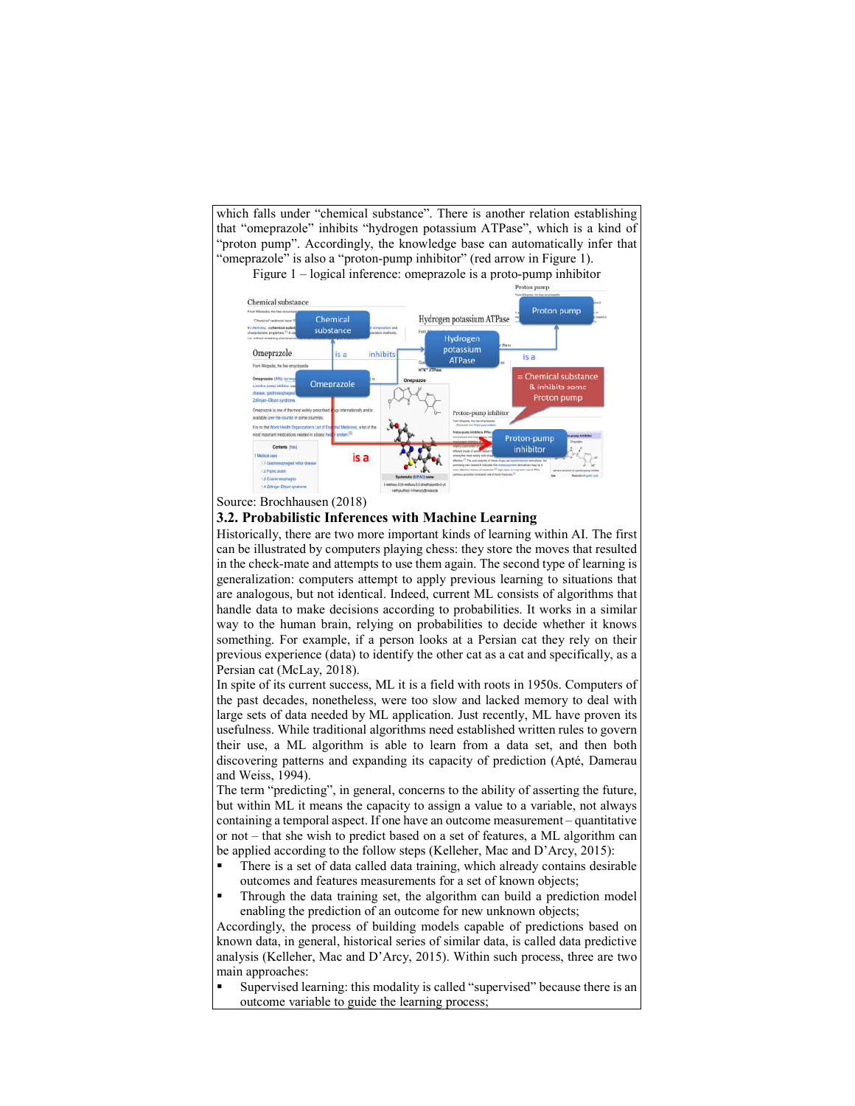which falls under "chemical substance". There is another relation establishing that "omeprazole" inhibits "hydrogen potassium ATPase", which is a kind of "proton pump". Accordingly, the knowledge base can automatically infer that "omeprazole" is also a "proton-pump inhibitor" (red arrow in Figure 1).

Figure 1 – logical inference: omeprazole is a proto-pump inhibitor Proton pump





# 3.2. Probabilistic Inferences with Machine Learning

Historically, there are two more important kinds of learning within AI. The first can be illustrated by computers playing chess: they store the moves that resulted in the check-mate and attempts to use them again. The second type of learning is generalization: computers attempt to apply previous learning to situations that are analogous, but not identical. Indeed, current ML consists of algorithms that handle data to make decisions according to probabilities. It works in a similar way to the human brain, relying on probabilities to decide whether it knows something. For example, if a person looks at a Persian cat they rely on their previous experience (data) to identify the other cat as a cat and specifically, as a Persian cat (McLay, 2018).

In spite of its current success, ML it is a field with roots in 1950s. Computers of the past decades, nonetheless, were too slow and lacked memory to deal with large sets of data needed by ML application. Just recently, ML have proven its usefulness. While traditional algorithms need established written rules to govern their use, a ML algorithm is able to learn from a data set, and then both discovering patterns and expanding its capacity of prediction (Apté, Damerau and Weiss, 1994).

The term "predicting", in general, concerns to the ability of asserting the future, but within ML it means the capacity to assign a value to a variable, not always containing a temporal aspect. If one have an outcome measurement – quantitative or not – that she wish to predict based on a set of features, a ML algorithm can be applied according to the follow steps (Kelleher, Mac and D'Arcy, 2015):

- There is a set of data called data training, which already contains desirable outcomes and features measurements for a set of known objects;
- Through the data training set, the algorithm can build a prediction model enabling the prediction of an outcome for new unknown objects;

Accordingly, the process of building models capable of predictions based on known data, in general, historical series of similar data, is called data predictive analysis (Kelleher, Mac and D'Arcy, 2015). Within such process, three are two main approaches:

 Supervised learning: this modality is called "supervised" because there is an outcome variable to guide the learning process;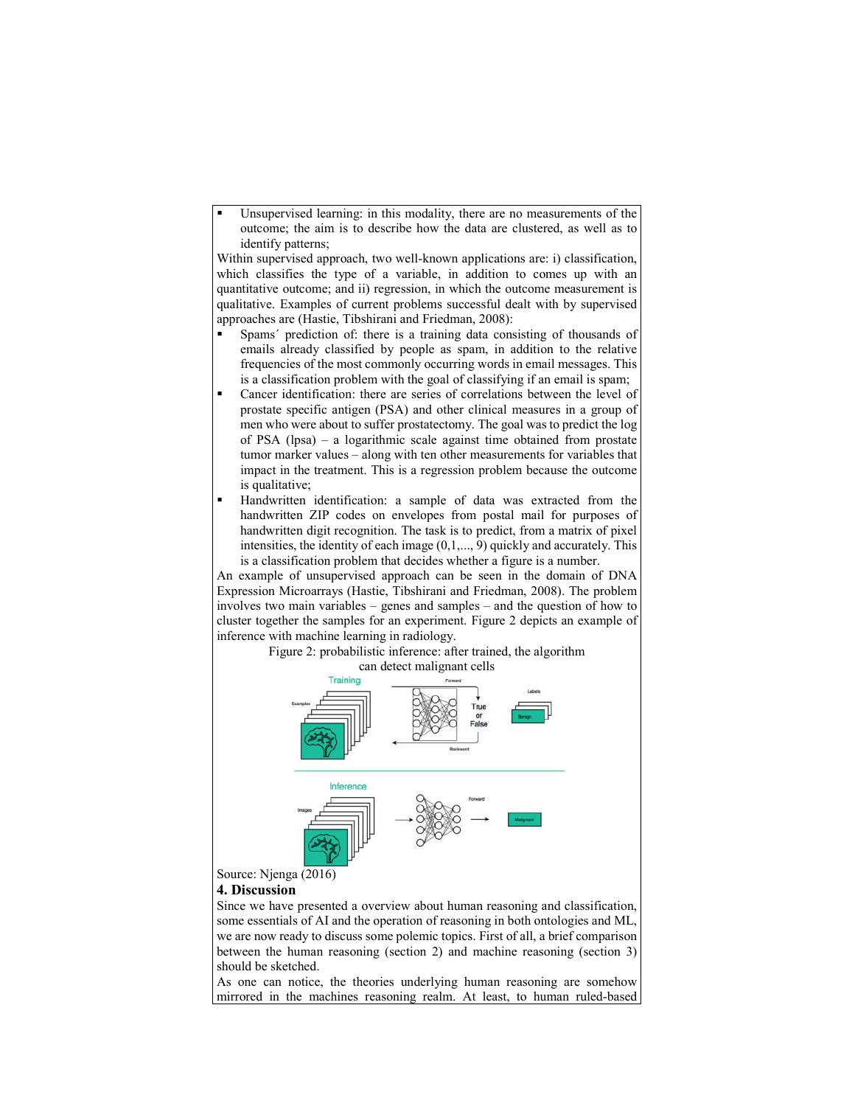Unsupervised learning: in this modality, there are no measurements of the outcome; the aim is to describe how the data are clustered, as well as to identify patterns;

Within supervised approach, two well-known applications are: i) classification, which classifies the type of a variable, in addition to comes up with an quantitative outcome; and ii) regression, in which the outcome measurement is qualitative. Examples of current problems successful dealt with by supervised approaches are (Hastie, Tibshirani and Friedman, 2008):

- Spams´ prediction of: there is a training data consisting of thousands of emails already classified by people as spam, in addition to the relative frequencies of the most commonly occurring words in email messages. This is a classification problem with the goal of classifying if an email is spam;
- Cancer identification: there are series of correlations between the level of prostate specific antigen (PSA) and other clinical measures in a group of men who were about to suffer prostatectomy. The goal was to predict the log of PSA (lpsa) – a logarithmic scale against time obtained from prostate tumor marker values – along with ten other measurements for variables that impact in the treatment. This is a regression problem because the outcome is qualitative;
- Handwritten identification: a sample of data was extracted from the handwritten ZIP codes on envelopes from postal mail for purposes of handwritten digit recognition. The task is to predict, from a matrix of pixel intensities, the identity of each image  $(0,1,..., 9)$  quickly and accurately. This is a classification problem that decides whether a figure is a number.

An example of unsupervised approach can be seen in the domain of DNA Expression Microarrays (Hastie, Tibshirani and Friedman, 2008). The problem involves two main variables – genes and samples – and the question of how to cluster together the samples for an experiment. Figure 2 depicts an example of inference with machine learning in radiology.

Figure 2: probabilistic inference: after trained, the algorithm





#### 4. Discussion

Since we have presented a overview about human reasoning and classification, some essentials of AI and the operation of reasoning in both ontologies and ML, we are now ready to discuss some polemic topics. First of all, a brief comparison between the human reasoning (section 2) and machine reasoning (section 3) should be sketched.

As one can notice, the theories underlying human reasoning are somehow mirrored in the machines reasoning realm. At least, to human ruled-based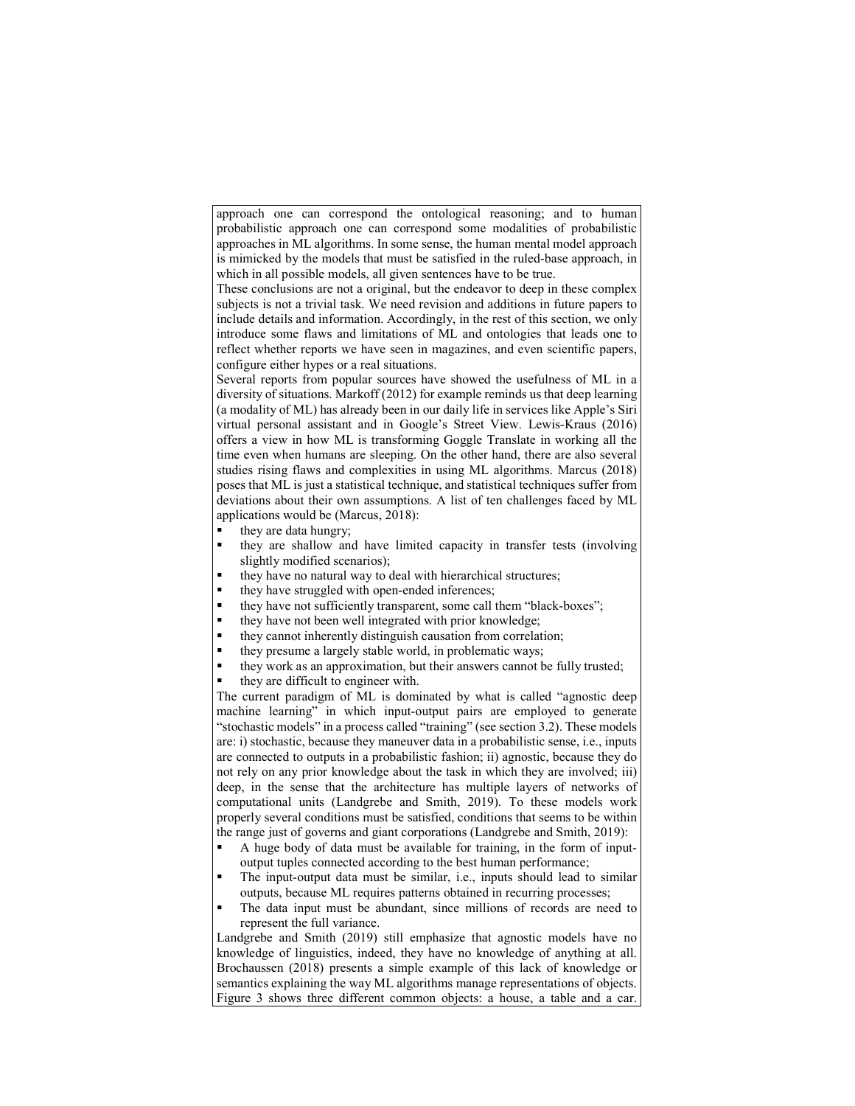approach one can correspond the ontological reasoning; and to human probabilistic approach one can correspond some modalities of probabilistic approaches in ML algorithms. In some sense, the human mental model approach is mimicked by the models that must be satisfied in the ruled-base approach, in which in all possible models, all given sentences have to be true.

These conclusions are not a original, but the endeavor to deep in these complex subjects is not a trivial task. We need revision and additions in future papers to include details and information. Accordingly, in the rest of this section, we only introduce some flaws and limitations of ML and ontologies that leads one to reflect whether reports we have seen in magazines, and even scientific papers, configure either hypes or a real situations.

Several reports from popular sources have showed the usefulness of ML in a diversity of situations. Markoff (2012) for example reminds us that deep learning (a modality of ML) has already been in our daily life in services like Apple's Siri virtual personal assistant and in Google's Street View. Lewis-Kraus (2016) offers a view in how ML is transforming Goggle Translate in working all the time even when humans are sleeping. On the other hand, there are also several studies rising flaws and complexities in using ML algorithms. Marcus (2018) poses that ML is just a statistical technique, and statistical techniques suffer from deviations about their own assumptions. A list of ten challenges faced by ML applications would be (Marcus, 2018):

- they are data hungry;
- they are shallow and have limited capacity in transfer tests (involving slightly modified scenarios);
- they have no natural way to deal with hierarchical structures;
- they have struggled with open-ended inferences;
- they have not sufficiently transparent, some call them "black-boxes";
- they have not been well integrated with prior knowledge;
- they cannot inherently distinguish causation from correlation;
- they presume a largely stable world, in problematic ways;
- they work as an approximation, but their answers cannot be fully trusted;
- they are difficult to engineer with.

The current paradigm of ML is dominated by what is called "agnostic deep machine learning" in which input-output pairs are employed to generate "stochastic models" in a process called "training" (see section 3.2). These models are: i) stochastic, because they maneuver data in a probabilistic sense, i.e., inputs are connected to outputs in a probabilistic fashion; ii) agnostic, because they do not rely on any prior knowledge about the task in which they are involved; iii) deep, in the sense that the architecture has multiple layers of networks of computational units (Landgrebe and Smith, 2019). To these models work properly several conditions must be satisfied, conditions that seems to be within the range just of governs and giant corporations (Landgrebe and Smith, 2019):

- A huge body of data must be available for training, in the form of inputoutput tuples connected according to the best human performance;
- The input-output data must be similar, i.e., inputs should lead to similar outputs, because ML requires patterns obtained in recurring processes;
- The data input must be abundant, since millions of records are need to represent the full variance.

Landgrebe and Smith (2019) still emphasize that agnostic models have no knowledge of linguistics, indeed, they have no knowledge of anything at all. Brochaussen (2018) presents a simple example of this lack of knowledge or semantics explaining the way ML algorithms manage representations of objects. Figure 3 shows three different common objects: a house, a table and a car.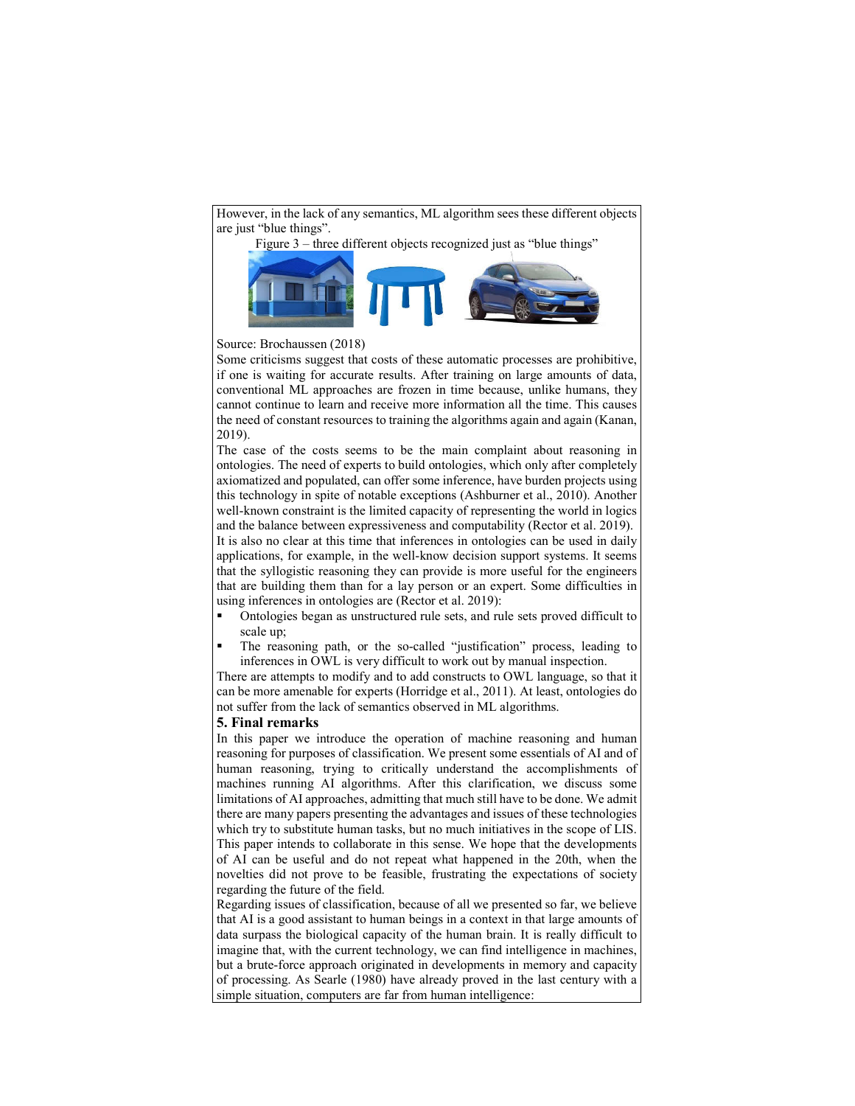However, in the lack of any semantics, ML algorithm sees these different objects are just "blue things".

Figure 3 – three different objects recognized just as "blue things"



Source: Brochaussen (2018)

Some criticisms suggest that costs of these automatic processes are prohibitive, if one is waiting for accurate results. After training on large amounts of data, conventional ML approaches are frozen in time because, unlike humans, they cannot continue to learn and receive more information all the time. This causes the need of constant resources to training the algorithms again and again (Kanan, 2019).

The case of the costs seems to be the main complaint about reasoning in ontologies. The need of experts to build ontologies, which only after completely axiomatized and populated, can offer some inference, have burden projects using this technology in spite of notable exceptions (Ashburner et al., 2010). Another well-known constraint is the limited capacity of representing the world in logics and the balance between expressiveness and computability (Rector et al. 2019).

It is also no clear at this time that inferences in ontologies can be used in daily applications, for example, in the well-know decision support systems. It seems that the syllogistic reasoning they can provide is more useful for the engineers that are building them than for a lay person or an expert. Some difficulties in using inferences in ontologies are (Rector et al. 2019):

- Ontologies began as unstructured rule sets, and rule sets proved difficult to scale up;
- The reasoning path, or the so-called "justification" process, leading to inferences in OWL is very difficult to work out by manual inspection.

There are attempts to modify and to add constructs to OWL language, so that it can be more amenable for experts (Horridge et al., 2011). At least, ontologies do not suffer from the lack of semantics observed in ML algorithms.

## 5. Final remarks

In this paper we introduce the operation of machine reasoning and human reasoning for purposes of classification. We present some essentials of AI and of human reasoning, trying to critically understand the accomplishments of machines running AI algorithms. After this clarification, we discuss some limitations of AI approaches, admitting that much still have to be done. We admit there are many papers presenting the advantages and issues of these technologies which try to substitute human tasks, but no much initiatives in the scope of LIS. This paper intends to collaborate in this sense. We hope that the developments of AI can be useful and do not repeat what happened in the 20th, when the novelties did not prove to be feasible, frustrating the expectations of society regarding the future of the field.

Regarding issues of classification, because of all we presented so far, we believe that AI is a good assistant to human beings in a context in that large amounts of data surpass the biological capacity of the human brain. It is really difficult to imagine that, with the current technology, we can find intelligence in machines, but a brute-force approach originated in developments in memory and capacity of processing. As Searle (1980) have already proved in the last century with a simple situation, computers are far from human intelligence: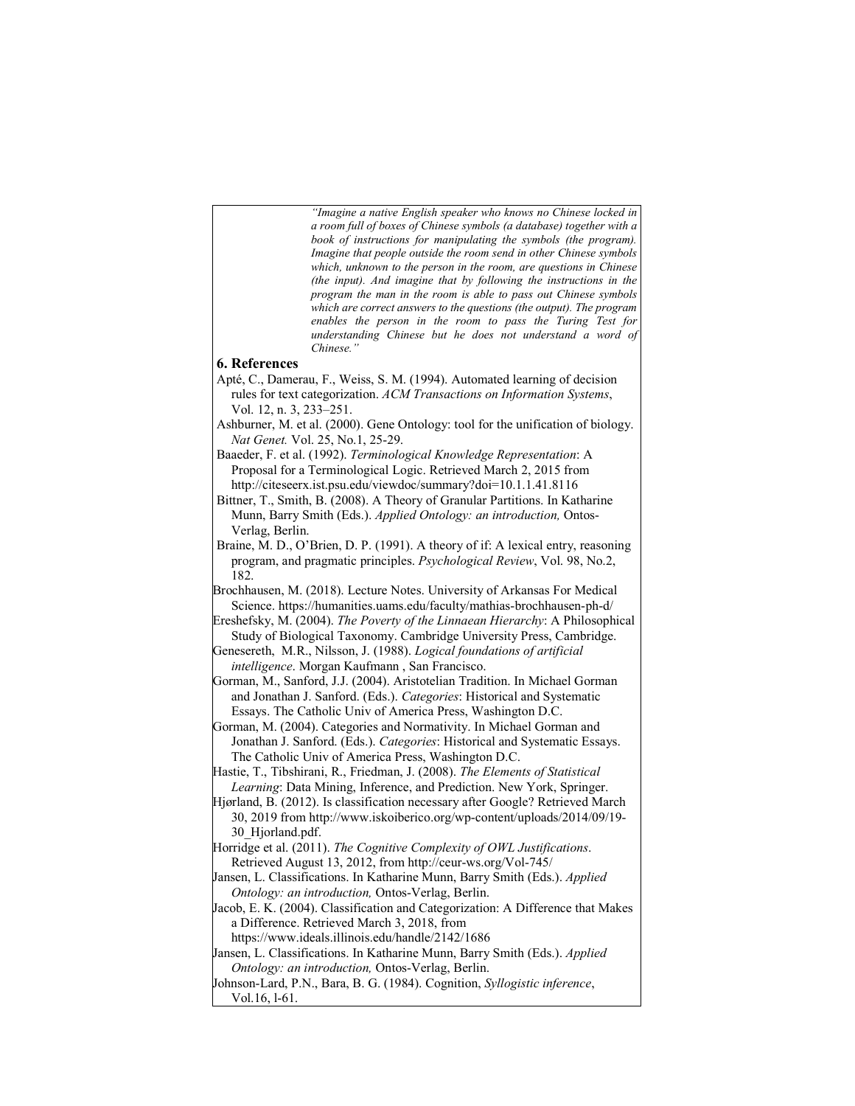*"Imagine a native English speaker who knows no Chinese locked in a room full of boxes of Chinese symbols (a database) together with a book of instructions for manipulating the symbols (the program). Imagine that people outside the room send in other Chinese symbols which, unknown to the person in the room, are questions in Chinese (the input). And imagine that by following the instructions in the program the man in the room is able to pass out Chinese symbols which are correct answers to the questions (the output). The program enables the person in the room to pass the Turing Test for understanding Chinese but he does not understand a word of Chinese."*

#### 6. References

- Apté, C., Damerau, F., Weiss, S. M. (1994). Automated learning of decision rules for text categorization. *ACM Transactions on Information Systems*, Vol. 12, n. 3, 233–251.
- Ashburner, M. et al. (2000). Gene Ontology: tool for the unification of biology. *Nat Genet.* Vol. 25, No.1, 25-29.
- Baaeder, F. et al. (1992). *Terminological Knowledge Representation*: A Proposal for a Terminological Logic. Retrieved March 2, 2015 from http://citeseerx.ist.psu.edu/viewdoc/summary?doi=10.1.1.41.8116
- Bittner, T., Smith, B. (2008). A Theory of Granular Partitions. In Katharine Munn, Barry Smith (Eds.). *Applied Ontology: an introduction,* Ontos-Verlag, Berlin.
- Braine, M. D., O'Brien, D. P. (1991). A theory of if: A lexical entry, reasoning program, and pragmatic principles. *Psychological Review*, Vol. 98, No.2, 182.
- Brochhausen, M. (2018). Lecture Notes. University of Arkansas For Medical Science. https://humanities.uams.edu/faculty/mathias-brochhausen-ph-d/

Ereshefsky, M. (2004). *The Poverty of the Linnaean Hierarchy*: A Philosophical Study of Biological Taxonomy. Cambridge University Press, Cambridge.

Genesereth, M.R., Nilsson, J. (1988). *Logical foundations of artificial intelligence*. Morgan Kaufmann , San Francisco.

Gorman, M., Sanford, J.J. (2004). Aristotelian Tradition. In Michael Gorman and Jonathan J. Sanford. (Eds.). *Categories*: Historical and Systematic Essays. The Catholic Univ of America Press, Washington D.C.

Gorman, M. (2004). Categories and Normativity. In Michael Gorman and Jonathan J. Sanford. (Eds.). *Categories*: Historical and Systematic Essays. The Catholic Univ of America Press, Washington D.C.

- Hastie, T., Tibshirani, R., Friedman, J. (2008). *The Elements of Statistical Learning*: Data Mining, Inference, and Prediction. New York, Springer.
- Hjørland, B. (2012). Is classification necessary after Google? Retrieved March 30, 2019 from http://www.iskoiberico.org/wp-content/uploads/2014/09/19- 30\_Hjorland.pdf.
- Horridge et al. (2011). *The Cognitive Complexity of OWL Justifications*. Retrieved August 13, 2012, from http://ceur-ws.org/Vol-745/
- Jansen, L. Classifications. In Katharine Munn, Barry Smith (Eds.). *Applied Ontology: an introduction,* Ontos-Verlag, Berlin.

Jacob, E. K. (2004). Classification and Categorization: A Difference that Makes a Difference. Retrieved March 3, 2018, from

https://www.ideals.illinois.edu/handle/2142/1686

Jansen, L. Classifications. In Katharine Munn, Barry Smith (Eds.). *Applied Ontology: an introduction,* Ontos-Verlag, Berlin.

Johnson-Lard, P.N., Bara, B. G. (1984). Cognition, *Syllogistic inference*, Vol.16, l-61.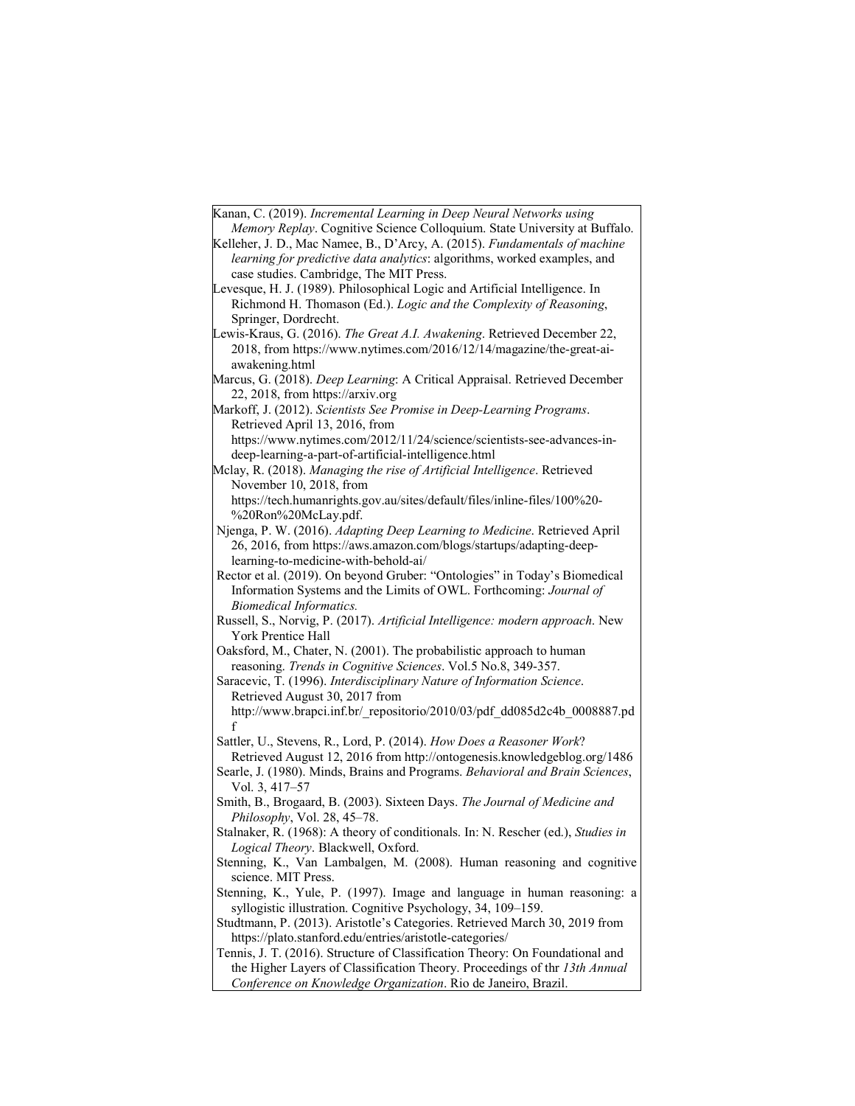Kanan, C. (2019). *Incremental Learning in Deep Neural Networks using Memory Replay*. Cognitive Science Colloquium. State University at Buffalo.

Kelleher, J. D., Mac Namee, B., D'Arcy, A. (2015). *Fundamentals of machine learning for predictive data analytics*: algorithms, worked examples, and case studies. Cambridge, The MIT Press.

Levesque, H. J. (1989). Philosophical Logic and Artificial Intelligence. In Richmond H. Thomason (Ed.). *Logic and the Complexity of Reasoning*, Springer, Dordrecht.

Lewis-Kraus, G. (2016). *The Great A.I. Awakening*. Retrieved December 22, 2018, from https://www.nytimes.com/2016/12/14/magazine/the-great-aiawakening.html

Marcus, G. (2018). *Deep Learning*: A Critical Appraisal. Retrieved December 22, 2018, from https://arxiv.org

Markoff, J. (2012). *Scientists See Promise in Deep-Learning Programs*. Retrieved April 13, 2016, from https://www.nytimes.com/2012/11/24/science/scientists-see-advances-in-

deep-learning-a-part-of-artificial-intelligence.html

Mclay, R. (2018). *Managing the rise of Artificial Intelligence*. Retrieved November 10, 2018, from

https://tech.humanrights.gov.au/sites/default/files/inline-files/100%20- %20Ron%20McLay.pdf.

Njenga, P. W. (2016). *Adapting Deep Learning to Medicine*. Retrieved April 26, 2016, from https://aws.amazon.com/blogs/startups/adapting-deeplearning-to-medicine-with-behold-ai/

Rector et al. (2019). On beyond Gruber: "Ontologies" in Today's Biomedical Information Systems and the Limits of OWL. Forthcoming: *Journal of Biomedical Informatics.*

Russell, S., Norvig, P. (2017). *Artificial Intelligence: modern approach*. New York Prentice Hall

Oaksford, M., Chater, N. (2001). The probabilistic approach to human reasoning. *Trends in Cognitive Sciences*. Vol.5 No.8, 349-357.

Saracevic, T. (1996). *Interdisciplinary Nature of Information Science*. Retrieved August 30, 2017 from http://www.brapci.inf.br/\_repositorio/2010/03/pdf\_dd085d2c4b\_0008887.pd f

Sattler, U., Stevens, R., Lord, P. (2014). *How Does a Reasoner Work*?

Retrieved August 12, 2016 from http://ontogenesis.knowledgeblog.org/1486 Searle, J. (1980). Minds, Brains and Programs. *Behavioral and Brain Sciences*,

Vol. 3, 417–57

- Smith, B., Brogaard, B. (2003). Sixteen Days. *The Journal of Medicine and Philosophy*, Vol. 28, 45–78.
- Stalnaker, R. (1968): A theory of conditionals. In: N. Rescher (ed.), *Studies in Logical Theory*. Blackwell, Oxford.
- Stenning, K., Van Lambalgen, M. (2008). Human reasoning and cognitive science. MIT Press.

Stenning, K., Yule, P. (1997). Image and language in human reasoning: a syllogistic illustration. Cognitive Psychology, 34, 109–159.

Studtmann, P. (2013). Aristotle's Categories. Retrieved March 30, 2019 from https://plato.stanford.edu/entries/aristotle-categories/

Tennis, J. T. (2016). Structure of Classification Theory: On Foundational and the Higher Layers of Classification Theory. Proceedings of thr *13th Annual Conference on Knowledge Organization*. Rio de Janeiro, Brazil.